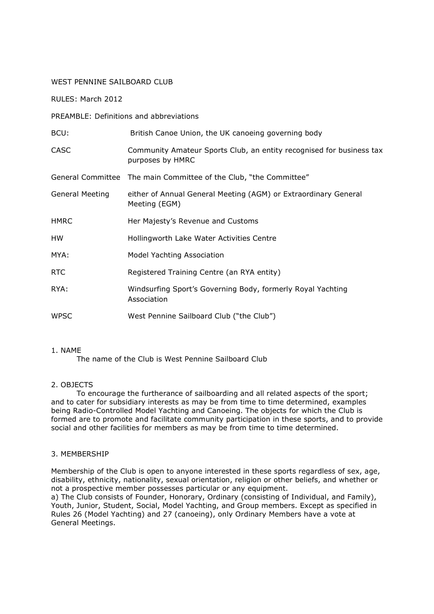## WEST PENNINE SAILBOARD CLUB

RULES: March 2012

PREAMBLE: Definitions and abbreviations

| BCU:                   | British Canoe Union, the UK canoeing governing body                                      |
|------------------------|------------------------------------------------------------------------------------------|
| <b>CASC</b>            | Community Amateur Sports Club, an entity recognised for business tax<br>purposes by HMRC |
|                        | General Committee The main Committee of the Club, "the Committee"                        |
| <b>General Meeting</b> | either of Annual General Meeting (AGM) or Extraordinary General<br>Meeting (EGM)         |
| <b>HMRC</b>            | Her Majesty's Revenue and Customs                                                        |
| HW                     | Hollingworth Lake Water Activities Centre                                                |
| MYA:                   | Model Yachting Association                                                               |
| RTC                    | Registered Training Centre (an RYA entity)                                               |
| RYA:                   | Windsurfing Sport's Governing Body, formerly Royal Yachting<br>Association               |
| <b>WPSC</b>            | West Pennine Sailboard Club ("the Club")                                                 |

### 1. NAME

The name of the Club is West Pennine Sailboard Club

# 2. OBJECTS

 To encourage the furtherance of sailboarding and all related aspects of the sport; and to cater for subsidiary interests as may be from time to time determined, examples being Radio-Controlled Model Yachting and Canoeing. The objects for which the Club is formed are to promote and facilitate community participation in these sports, and to provide social and other facilities for members as may be from time to time determined.

# 3. MEMBERSHIP

Membership of the Club is open to anyone interested in these sports regardless of sex, age, disability, ethnicity, nationality, sexual orientation, religion or other beliefs, and whether or not a prospective member possesses particular or any equipment.

a) The Club consists of Founder, Honorary, Ordinary (consisting of Individual, and Family), Youth, Junior, Student, Social, Model Yachting, and Group members. Except as specified in Rules 26 (Model Yachting) and 27 (canoeing), only Ordinary Members have a vote at General Meetings.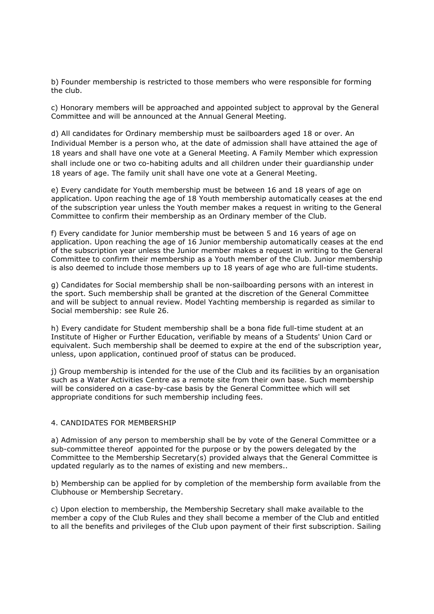b) Founder membership is restricted to those members who were responsible for forming the club.

c) Honorary members will be approached and appointed subject to approval by the General Committee and will be announced at the Annual General Meeting.

d) All candidates for Ordinary membership must be sailboarders aged 18 or over. An Individual Member is a person who, at the date of admission shall have attained the age of 18 years and shall have one vote at a General Meeting. A Family Member which expression shall include one or two co-habiting adults and all children under their guardianship under 18 years of age. The family unit shall have one vote at a General Meeting.

e) Every candidate for Youth membership must be between 16 and 18 years of age on application. Upon reaching the age of 18 Youth membership automatically ceases at the end of the subscription year unless the Youth member makes a request in writing to the General Committee to confirm their membership as an Ordinary member of the Club.

f) Every candidate for Junior membership must be between 5 and 16 years of age on application. Upon reaching the age of 16 Junior membership automatically ceases at the end of the subscription year unless the Junior member makes a request in writing to the General Committee to confirm their membership as a Youth member of the Club. Junior membership is also deemed to include those members up to 18 years of age who are full-time students.

g) Candidates for Social membership shall be non-sailboarding persons with an interest in the sport. Such membership shall be granted at the discretion of the General Committee and will be subject to annual review. Model Yachting membership is regarded as similar to Social membership: see Rule 26.

h) Every candidate for Student membership shall be a bona fide full-time student at an Institute of Higher or Further Education, verifiable by means of a Students' Union Card or equivalent. Such membership shall be deemed to expire at the end of the subscription year, unless, upon application, continued proof of status can be produced.

j) Group membership is intended for the use of the Club and its facilities by an organisation such as a Water Activities Centre as a remote site from their own base. Such membership will be considered on a case-by-case basis by the General Committee which will set appropriate conditions for such membership including fees.

# 4. CANDIDATES FOR MEMBERSHIP

a) Admission of any person to membership shall be by vote of the General Committee or a sub-committee thereof appointed for the purpose or by the powers delegated by the Committee to the Membership Secretary(s) provided always that the General Committee is updated regularly as to the names of existing and new members..

b) Membership can be applied for by completion of the membership form available from the Clubhouse or Membership Secretary.

c) Upon election to membership, the Membership Secretary shall make available to the member a copy of the Club Rules and they shall become a member of the Club and entitled to all the benefits and privileges of the Club upon payment of their first subscription. Sailing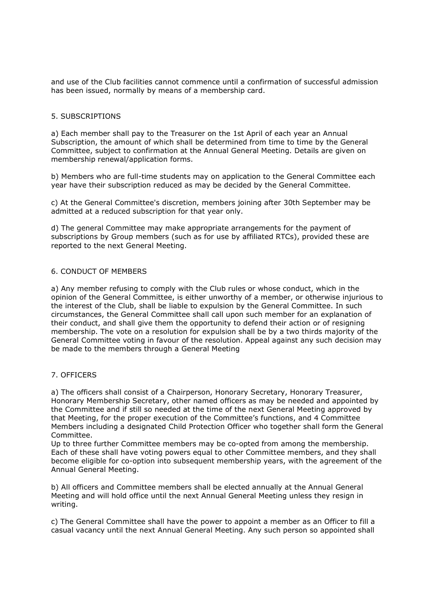and use of the Club facilities cannot commence until a confirmation of successful admission has been issued, normally by means of a membership card.

## 5. SUBSCRIPTIONS

a) Each member shall pay to the Treasurer on the 1st April of each year an Annual Subscription, the amount of which shall be determined from time to time by the General Committee, subject to confirmation at the Annual General Meeting. Details are given on membership renewal/application forms.

b) Members who are full-time students may on application to the General Committee each year have their subscription reduced as may be decided by the General Committee.

c) At the General Committee's discretion, members joining after 30th September may be admitted at a reduced subscription for that year only.

d) The general Committee may make appropriate arrangements for the payment of subscriptions by Group members (such as for use by affiliated RTCs), provided these are reported to the next General Meeting.

### 6. CONDUCT OF MEMBERS

a) Any member refusing to comply with the Club rules or whose conduct, which in the opinion of the General Committee, is either unworthy of a member, or otherwise injurious to the interest of the Club, shall be liable to expulsion by the General Committee. In such circumstances, the General Committee shall call upon such member for an explanation of their conduct, and shall give them the opportunity to defend their action or of resigning membership. The vote on a resolution for expulsion shall be by a two thirds majority of the General Committee voting in favour of the resolution. Appeal against any such decision may be made to the members through a General Meeting

# 7. OFFICERS

a) The officers shall consist of a Chairperson, Honorary Secretary, Honorary Treasurer, Honorary Membership Secretary, other named officers as may be needed and appointed by the Committee and if still so needed at the time of the next General Meeting approved by that Meeting, for the proper execution of the Committee's functions, and 4 Committee Members including a designated Child Protection Officer who together shall form the General Committee.

Up to three further Committee members may be co-opted from among the membership. Each of these shall have voting powers equal to other Committee members, and they shall become eligible for co-option into subsequent membership years, with the agreement of the Annual General Meeting.

b) All officers and Committee members shall be elected annually at the Annual General Meeting and will hold office until the next Annual General Meeting unless they resign in writing.

c) The General Committee shall have the power to appoint a member as an Officer to fill a casual vacancy until the next Annual General Meeting. Any such person so appointed shall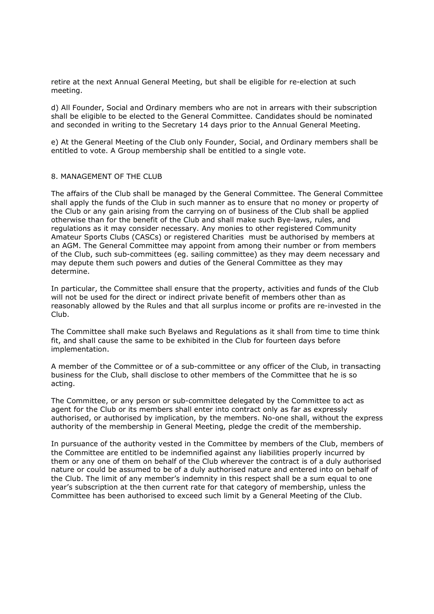retire at the next Annual General Meeting, but shall be eligible for re-election at such meeting.

d) All Founder, Social and Ordinary members who are not in arrears with their subscription shall be eligible to be elected to the General Committee. Candidates should be nominated and seconded in writing to the Secretary 14 days prior to the Annual General Meeting.

e) At the General Meeting of the Club only Founder, Social, and Ordinary members shall be entitled to vote. A Group membership shall be entitled to a single vote.

# 8. MANAGEMENT OF THE CLUB

The affairs of the Club shall be managed by the General Committee. The General Committee shall apply the funds of the Club in such manner as to ensure that no money or property of the Club or any gain arising from the carrying on of business of the Club shall be applied otherwise than for the benefit of the Club and shall make such Bye-laws, rules, and regulations as it may consider necessary. Any monies to other registered Community Amateur Sports Clubs (CASCs) or registered Charities must be authorised by members at an AGM. The General Committee may appoint from among their number or from members of the Club, such sub-committees (eg. sailing committee) as they may deem necessary and may depute them such powers and duties of the General Committee as they may determine.

In particular, the Committee shall ensure that the property, activities and funds of the Club will not be used for the direct or indirect private benefit of members other than as reasonably allowed by the Rules and that all surplus income or profits are re-invested in the Club.

The Committee shall make such Byelaws and Regulations as it shall from time to time think fit, and shall cause the same to be exhibited in the Club for fourteen days before implementation.

A member of the Committee or of a sub-committee or any officer of the Club, in transacting business for the Club, shall disclose to other members of the Committee that he is so acting.

The Committee, or any person or sub-committee delegated by the Committee to act as agent for the Club or its members shall enter into contract only as far as expressly authorised, or authorised by implication, by the members. No-one shall, without the express authority of the membership in General Meeting, pledge the credit of the membership.

In pursuance of the authority vested in the Committee by members of the Club, members of the Committee are entitled to be indemnified against any liabilities properly incurred by them or any one of them on behalf of the Club wherever the contract is of a duly authorised nature or could be assumed to be of a duly authorised nature and entered into on behalf of the Club. The limit of any member's indemnity in this respect shall be a sum equal to one year's subscription at the then current rate for that category of membership, unless the Committee has been authorised to exceed such limit by a General Meeting of the Club.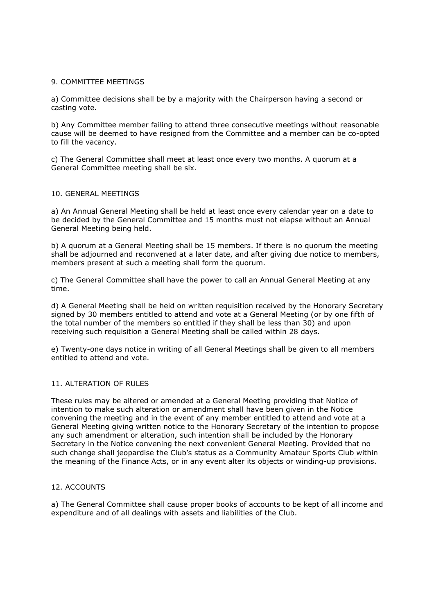## 9. COMMITTEE MEETINGS

a) Committee decisions shall be by a majority with the Chairperson having a second or casting vote.

b) Any Committee member failing to attend three consecutive meetings without reasonable cause will be deemed to have resigned from the Committee and a member can be co-opted to fill the vacancy.

c) The General Committee shall meet at least once every two months. A quorum at a General Committee meeting shall be six.

### 10. GENERAL MEETINGS

a) An Annual General Meeting shall be held at least once every calendar year on a date to be decided by the General Committee and 15 months must not elapse without an Annual General Meeting being held.

b) A quorum at a General Meeting shall be 15 members. If there is no quorum the meeting shall be adjourned and reconvened at a later date, and after giving due notice to members, members present at such a meeting shall form the quorum.

c) The General Committee shall have the power to call an Annual General Meeting at any time.

d) A General Meeting shall be held on written requisition received by the Honorary Secretary signed by 30 members entitled to attend and vote at a General Meeting (or by one fifth of the total number of the members so entitled if they shall be less than 30) and upon receiving such requisition a General Meeting shall be called within 28 days.

e) Twenty-one days notice in writing of all General Meetings shall be given to all members entitled to attend and vote.

#### 11. ALTERATION OF RULES

These rules may be altered or amended at a General Meeting providing that Notice of intention to make such alteration or amendment shall have been given in the Notice convening the meeting and in the event of any member entitled to attend and vote at a General Meeting giving written notice to the Honorary Secretary of the intention to propose any such amendment or alteration, such intention shall be included by the Honorary Secretary in the Notice convening the next convenient General Meeting. Provided that no such change shall jeopardise the Club's status as a Community Amateur Sports Club within the meaning of the Finance Acts, or in any event alter its objects or winding-up provisions.

# 12. ACCOUNTS

a) The General Committee shall cause proper books of accounts to be kept of all income and expenditure and of all dealings with assets and liabilities of the Club.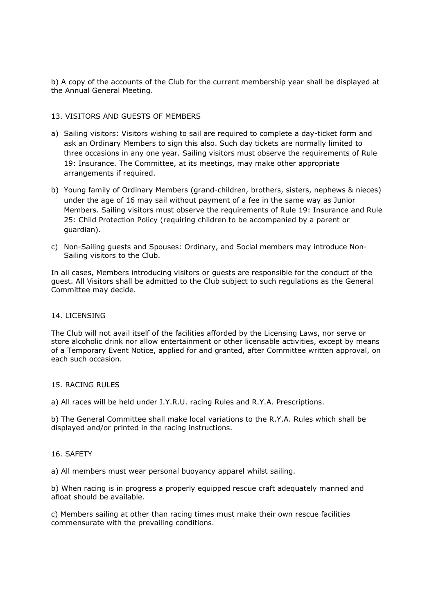b) A copy of the accounts of the Club for the current membership year shall be displayed at the Annual General Meeting.

# 13. VISITORS AND GUESTS OF MEMBERS

- a) Sailing visitors: Visitors wishing to sail are required to complete a day-ticket form and ask an Ordinary Members to sign this also. Such day tickets are normally limited to three occasions in any one year. Sailing visitors must observe the requirements of Rule 19: Insurance. The Committee, at its meetings, may make other appropriate arrangements if required.
- b) Young family of Ordinary Members (grand-children, brothers, sisters, nephews & nieces) under the age of 16 may sail without payment of a fee in the same way as Junior Members. Sailing visitors must observe the requirements of Rule 19: Insurance and Rule 25: Child Protection Policy (requiring children to be accompanied by a parent or guardian).
- c) Non-Sailing guests and Spouses: Ordinary, and Social members may introduce Non-Sailing visitors to the Club.

In all cases, Members introducing visitors or guests are responsible for the conduct of the guest. All Visitors shall be admitted to the Club subject to such regulations as the General Committee may decide.

### 14. LICENSING

The Club will not avail itself of the facilities afforded by the Licensing Laws, nor serve or store alcoholic drink nor allow entertainment or other licensable activities, except by means of a Temporary Event Notice, applied for and granted, after Committee written approval, on each such occasion.

#### 15. RACING RULES

a) All races will be held under I.Y.R.U. racing Rules and R.Y.A. Prescriptions.

b) The General Committee shall make local variations to the R.Y.A. Rules which shall be displayed and/or printed in the racing instructions.

#### 16. SAFETY

a) All members must wear personal buoyancy apparel whilst sailing.

b) When racing is in progress a properly equipped rescue craft adequately manned and afloat should be available.

c) Members sailing at other than racing times must make their own rescue facilities commensurate with the prevailing conditions.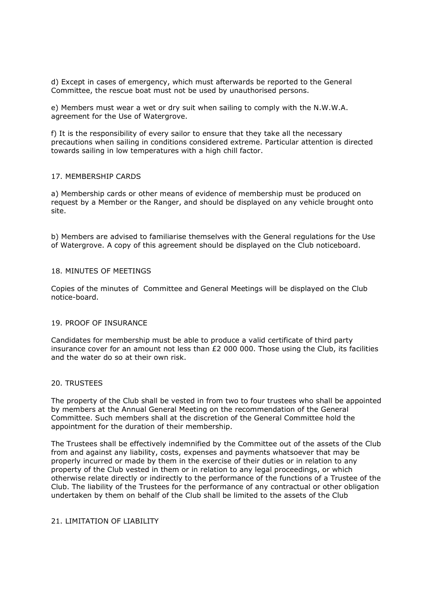d) Except in cases of emergency, which must afterwards be reported to the General Committee, the rescue boat must not be used by unauthorised persons.

e) Members must wear a wet or dry suit when sailing to comply with the N.W.W.A. agreement for the Use of Watergrove.

f) It is the responsibility of every sailor to ensure that they take all the necessary precautions when sailing in conditions considered extreme. Particular attention is directed towards sailing in low temperatures with a high chill factor.

#### 17. MEMBERSHIP CARDS

a) Membership cards or other means of evidence of membership must be produced on request by a Member or the Ranger, and should be displayed on any vehicle brought onto site.

b) Members are advised to familiarise themselves with the General regulations for the Use of Watergrove. A copy of this agreement should be displayed on the Club noticeboard.

### 18. MINUTES OF MEETINGS

Copies of the minutes of Committee and General Meetings will be displayed on the Club notice-board.

#### 19. PROOF OF INSURANCE

Candidates for membership must be able to produce a valid certificate of third party insurance cover for an amount not less than £2 000 000. Those using the Club, its facilities and the water do so at their own risk.

#### 20. TRUSTEES

The property of the Club shall be vested in from two to four trustees who shall be appointed by members at the Annual General Meeting on the recommendation of the General Committee. Such members shall at the discretion of the General Committee hold the appointment for the duration of their membership.

The Trustees shall be effectively indemnified by the Committee out of the assets of the Club from and against any liability, costs, expenses and payments whatsoever that may be properly incurred or made by them in the exercise of their duties or in relation to any property of the Club vested in them or in relation to any legal proceedings, or which otherwise relate directly or indirectly to the performance of the functions of a Trustee of the Club. The liability of the Trustees for the performance of any contractual or other obligation undertaken by them on behalf of the Club shall be limited to the assets of the Club

## 21. LIMITATION OF LIABILITY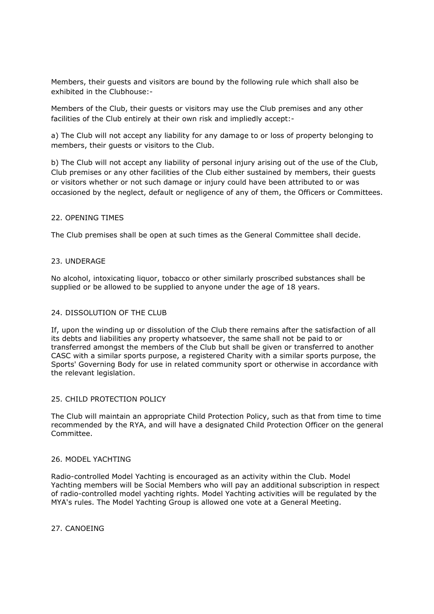Members, their guests and visitors are bound by the following rule which shall also be exhibited in the Clubhouse:-

Members of the Club, their guests or visitors may use the Club premises and any other facilities of the Club entirely at their own risk and impliedly accept:-

a) The Club will not accept any liability for any damage to or loss of property belonging to members, their guests or visitors to the Club.

b) The Club will not accept any liability of personal injury arising out of the use of the Club, Club premises or any other facilities of the Club either sustained by members, their guests or visitors whether or not such damage or injury could have been attributed to or was occasioned by the neglect, default or negligence of any of them, the Officers or Committees.

### 22. OPENING TIMES

The Club premises shall be open at such times as the General Committee shall decide.

### 23. UNDERAGE

No alcohol, intoxicating liquor, tobacco or other similarly proscribed substances shall be supplied or be allowed to be supplied to anyone under the age of 18 years.

# 24. DISSOLUTION OF THE CLUB

If, upon the winding up or dissolution of the Club there remains after the satisfaction of all its debts and liabilities any property whatsoever, the same shall not be paid to or transferred amongst the members of the Club but shall be given or transferred to another CASC with a similar sports purpose, a registered Charity with a similar sports purpose, the Sports' Governing Body for use in related community sport or otherwise in accordance with the relevant legislation.

#### 25. CHILD PROTECTION POLICY

The Club will maintain an appropriate Child Protection Policy, such as that from time to time recommended by the RYA, and will have a designated Child Protection Officer on the general Committee.

## 26. MODEL YACHTING

Radio-controlled Model Yachting is encouraged as an activity within the Club. Model Yachting members will be Social Members who will pay an additional subscription in respect of radio-controlled model yachting rights. Model Yachting activities will be regulated by the MYA's rules. The Model Yachting Group is allowed one vote at a General Meeting.

27. CANOEING